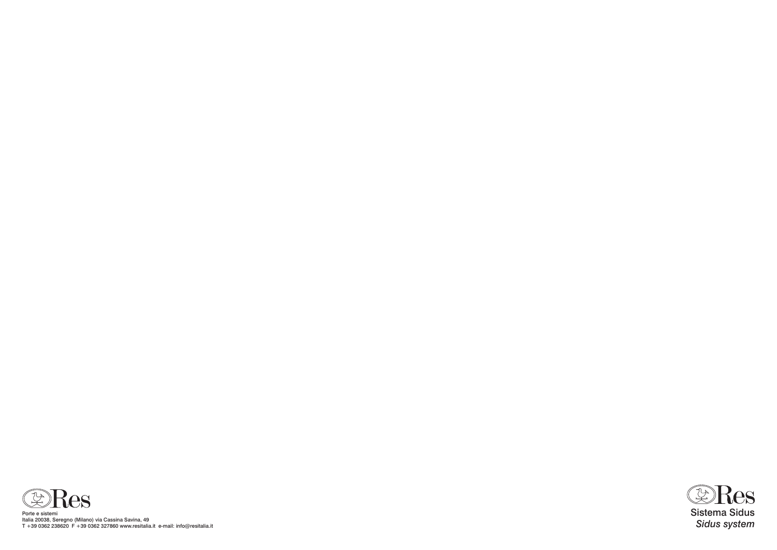

Porte e sistemi Italia 20038, Seregno (Milano) via Cassina Savina, 49 T +39 0362 238620 F +39 0362 327860 www.resitalia.it e-mail: info@resitalia.it

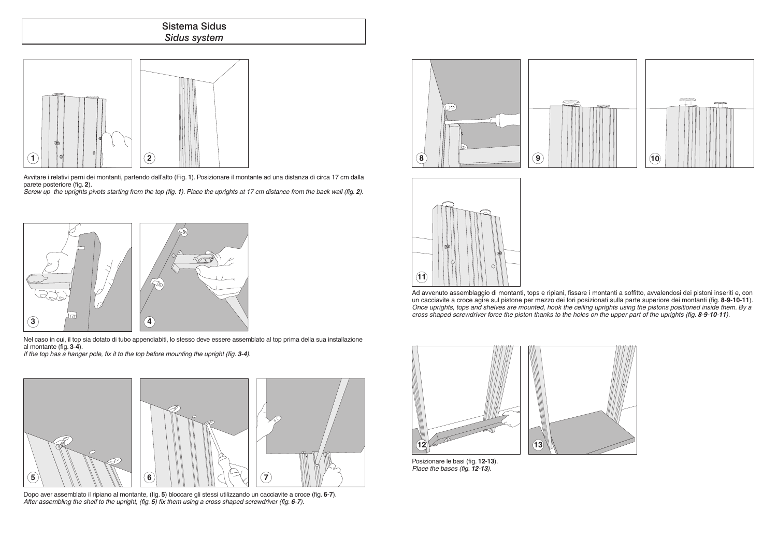





## Sistema Sidus *Sidus system*

Avvitare i relativi perni dei montanti, partendo dall'alto (Fig. **1**). Posizionare il montante ad una distanza di circa 17 cm dalla parete posteriore (fig. **2**).

*Screw up the uprights pivots starting from the top (fig. 1). Place the uprights at 17 cm distance from the back wall (fig. 2).*

Nel caso in cui, il top sia dotato di tubo appendiabiti, lo stesso deve essere assemblato al top prima della sua installazione al montante (fig. **3**-**4**).

*If the top has a hanger pole, fix it to the top before mounting the upright (fig. 3-4).* 

Dopo aver assemblato il ripiano al montante, (fig. **5**) bloccare gli stessi utilizzando un cacciavite a croce (fig. **6**-**7**). *After assembling the shelf to the upright, (fig. 5) fix them using a cross shaped screwdriver (fig. 6-7).*



Posizionare le basi (fig. **12**-**13**). *Place the bases (fig. 12-13).*





Ad avvenuto assemblaggio di montanti, tops e ripiani, fissare i montanti a soffitto, avvalendosi dei pistoni inseriti e, con un cacciavite a croce agire sul pistone per mezzo dei fori posizionati sulla parte superiore dei montanti (fig. **8**-**9**-**10**-**11**). *Once uprights, tops and shelves are mounted, hook the ceiling uprights using the pistons positioned inside them. By a cross shaped screwdriver force the piston thanks to the holes on the upper part of the uprights (fig. 8-9-10-11).*







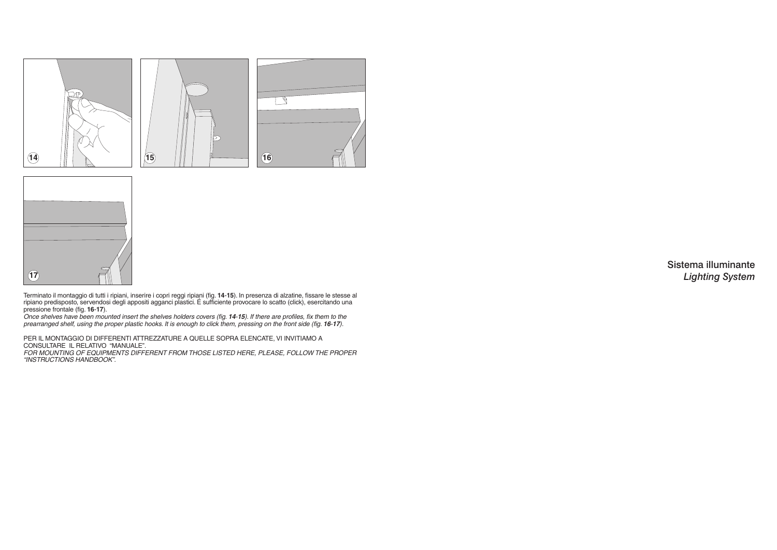Per il montaggio di differenti attrezzature a quelle sopra elencate, Vi invitiamo a consultare il relativo "MANUALE". *For mounting of equipments different from those listed here, please, follow the proper "INSTRUCTIONS HANDBOOK".*

Terminato il montaggio di tutti i ripiani, inserire i copri reggi ripiani (fig. **14**-**15**). In presenza di alzatine, fissare le stesse al ripiano predisposto, servendosi degli appositi agganci plastici. É sufficiente provocare lo scatto (click), esercitando una pressione frontale (fig. **16**-**17**).

*Once shelves have been mounted insert the shelves holders covers (fig. 14-15). If there are profiles, fix them to the prearranged shelf, using the proper plastic hooks. It is enough to click them, pressing on the front side (fig. 16-17).* 





## Sistema illuminante *Lighting System*